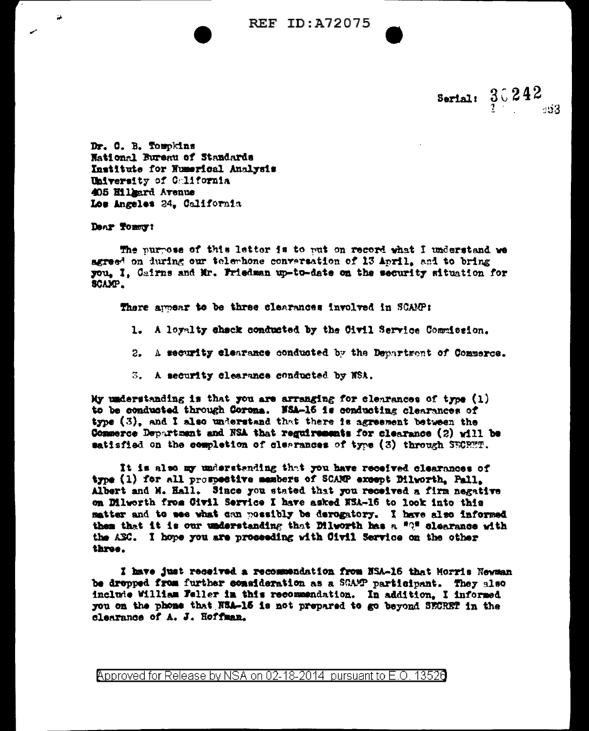**REF ID: A72075** 

Serial:  $3.242$ s:13

Dr. C. B. Tompkins Hational Bureau of Standards Institute for Numerical Analysis University of Colifornia 405 Hillmard Avenue Los Angeles 24, California

Dear Tomort

ш

The purpose of this letter is to rut on record what I understand we agreed on during our telembone conversation of 13 April, and to bring you, I, Cairns and Mr. Friedman up-to-date on the security situation for SCAMP.

There ampear to be three clearances involved in SCAMP:

- 1. A loyalty shack conducted by the Civil Service Commission.
- 2. A security clearance conducted by the Department of Commerce.
- 3. A security clearance conducted by NSA.

My understanding is that you are arranging for clearances of type  $(1)$ to be conducted through Corona. NSA-16 is conducting clearances of type (3), and I also understand that there is agreement between the Commerce Department and NSA that regulrements for clearance (2) will be satisfied on the completion of clearances of type (3) through SECRWT.

It is also my understanding that you have received clearances of type (1) for all prompective members of SCAMP except Dilworth, Pall. Albert and M. Hall. Since you stated that you received a firm negative on Dilworth from Civil Service I have asked NSA-16 to look into this matter and to mee what can mossibly be derogatory. I have also informed them that it is our understanding that Dilworth has a "O" clearance with the AEC. I hope you are proseeding with Civil Service on the other three.

I have just received a recommendation from NSA-16 that Morris Newman be dropped from further consideration as a SCAMP participant. They also include William Feller in this recommendation. In addition, I informed you on the phone that NSA-16 is not prepared to go beyond SECRET in the clearance of A. J. Hoffman.

Approved for Release by NSA on 02-18-2014 pursuant to E.O. 13520